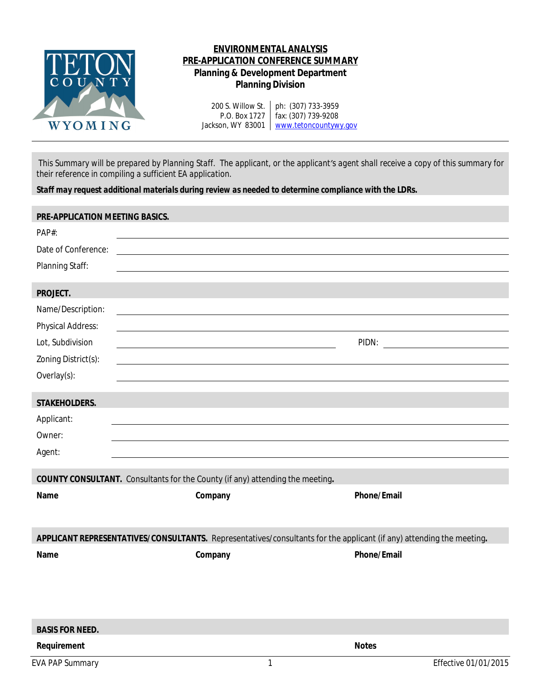

# **ENVIRONMENTAL ANALYSIS PRE-APPLICATION CONFERENCE SUMMARY Planning & Development Department Planning Division**

200 S. Willow St. ph: (307) 733-3959 P.O. Box 1727 Jackson, WY 83001 | [www.tetoncountywy.gov](http://www.tetonwyo.org) fax: (307) 739-9208

This Summary will be prepared by Planning Staff. The applicant, or the applicant's agent shall receive a copy of this summary for *their reference in compiling a sufficient EA application.*

*Staff may request additional materials during review as needed to determine compliance with the LDRs.*

| PRE-APPLICATION MEETING BASICS.                                                      |                                                                                                                      |                      |  |  |
|--------------------------------------------------------------------------------------|----------------------------------------------------------------------------------------------------------------------|----------------------|--|--|
| PAP#:                                                                                |                                                                                                                      |                      |  |  |
| Date of Conference:                                                                  |                                                                                                                      |                      |  |  |
| Planning Staff:                                                                      |                                                                                                                      |                      |  |  |
|                                                                                      |                                                                                                                      |                      |  |  |
| PROJECT.                                                                             |                                                                                                                      |                      |  |  |
| Name/Description:                                                                    |                                                                                                                      |                      |  |  |
| Physical Address:                                                                    |                                                                                                                      |                      |  |  |
| Lot, Subdivision                                                                     |                                                                                                                      |                      |  |  |
| Zoning District(s):                                                                  |                                                                                                                      |                      |  |  |
| Overlay(s):                                                                          |                                                                                                                      |                      |  |  |
| STAKEHOLDERS.                                                                        |                                                                                                                      |                      |  |  |
| Applicant:                                                                           |                                                                                                                      |                      |  |  |
| Owner:                                                                               |                                                                                                                      |                      |  |  |
| Agent:                                                                               |                                                                                                                      |                      |  |  |
|                                                                                      |                                                                                                                      |                      |  |  |
| <b>COUNTY CONSULTANT.</b> Consultants for the County (if any) attending the meeting. |                                                                                                                      |                      |  |  |
| Name                                                                                 | Company                                                                                                              | Phone/Email          |  |  |
|                                                                                      |                                                                                                                      |                      |  |  |
|                                                                                      |                                                                                                                      |                      |  |  |
|                                                                                      | APPLICANT REPRESENTATIVES/CONSULTANTS. Representatives/consultants for the applicant (if any) attending the meeting. |                      |  |  |
| Name                                                                                 | Company                                                                                                              | Phone/Email          |  |  |
|                                                                                      |                                                                                                                      |                      |  |  |
|                                                                                      |                                                                                                                      |                      |  |  |
|                                                                                      |                                                                                                                      |                      |  |  |
| <b>BASIS FOR NEED.</b>                                                               |                                                                                                                      |                      |  |  |
| Requirement                                                                          |                                                                                                                      | <b>Notes</b>         |  |  |
| <b>EVA PAP Summary</b>                                                               | $\mathbf{1}$                                                                                                         | Effective 01/01/2015 |  |  |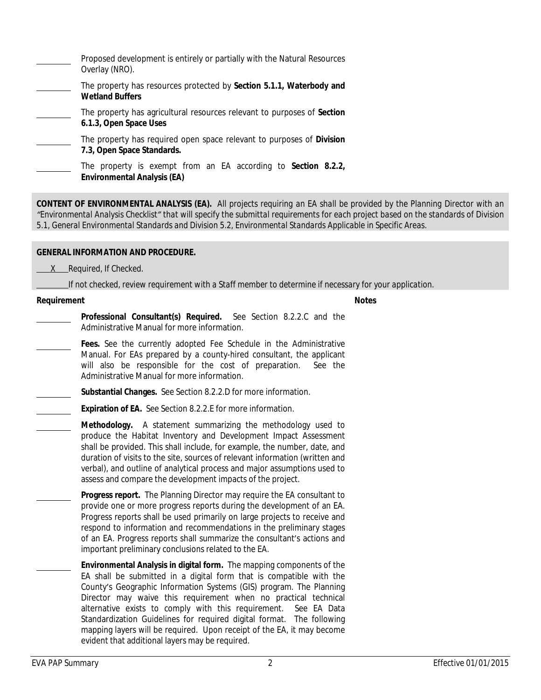| Proposed development is entirely or partially with the Natural Resources<br>Overlay (NRO).                  |  |
|-------------------------------------------------------------------------------------------------------------|--|
| The property has resources protected by Section 5.1.1, Waterbody and<br><b>Wetland Buffers</b>              |  |
| The property has agricultural resources relevant to purposes of Section<br>6.1.3, Open Space Uses           |  |
| The property has required open space relevant to purposes of <b>Division</b><br>7.3, Open Space Standards.  |  |
| The property is exempt from an EA according to <b>Section 8.2.2</b> ,<br><b>Environmental Analysis (EA)</b> |  |

**CONTENT OF ENVIRONMENTAL ANALYSIS (EA).** All projects requiring an EA shall be provided by the Planning Director with an "Environmental Analysis Checklist" that will specify the submittal requirements for each project based on the standards of Division *5.1, General Environmental Standards and Division 5.2, Environmental Standards Applicable in Specific Areas.*

### **GENERAL INFORMATION AND PROCEDURE.**

 *X Required, If Checked.*

 *If not checked, review requirement with a Staff member to determine if necessary for your application.*

#### **Requirement Notes**

**Professional Consultant(s) Required.** See Section 8.2.2.C and the Administrative Manual for more information.

**Fees.** See the currently adopted Fee Schedule in the Administrative Manual. For EAs prepared by a county-hired consultant, the applicant will also be responsible for the cost of preparation. See the Administrative Manual for more information.

**Substantial Changes.** See Section 8.2.2.D for more information.

**Expiration of EA.** See Section 8.2.2.E for more information.

**Methodology.** A statement summarizing the methodology used to produce the Habitat Inventory and Development Impact Assessment shall be provided. This shall include, for example, the number, date, and duration of visits to the site, sources of relevant information (written and verbal), and outline of analytical process and major assumptions used to assess and compare the development impacts of the project.

**Progress report.** The Planning Director may require the EA consultant to provide one or more progress reports during the development of an EA. Progress reports shall be used primarily on large projects to receive and respond to information and recommendations in the preliminary stages of an EA. Progress reports shall summarize the consultant's actions and important preliminary conclusions related to the EA.

**Environmental Analysis in digital form.** The mapping components of the EA shall be submitted in a digital form that is compatible with the County's Geographic Information Systems (GIS) program. The Planning Director may waive this requirement when no practical technical alternative exists to comply with this requirement. See EA Data Standardization Guidelines for required digital format. The following mapping layers will be required. Upon receipt of the EA, it may become evident that additional layers may be required.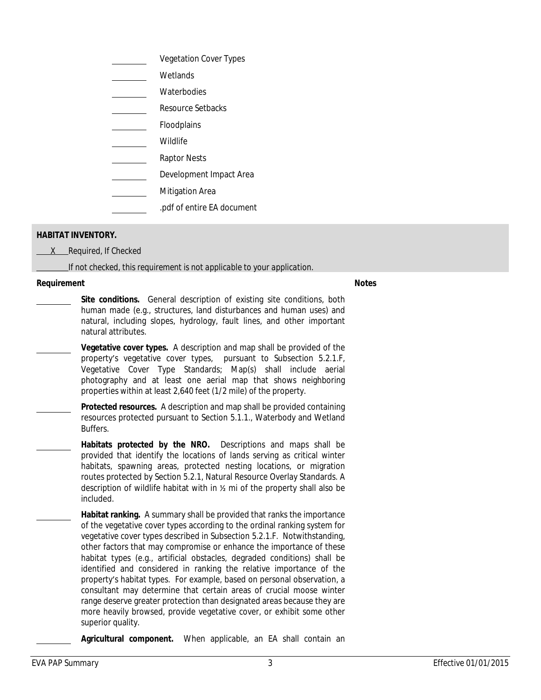| <b>Vegetation Cover Types</b> |
|-------------------------------|
| Wetlands                      |
| Waterbodies                   |
| Resource Setbacks             |
| Floodplains                   |
| Wildlife                      |
| Raptor Nests                  |
| Development Impact Area       |
| <b>Mitigation Area</b>        |
| .pdf of entire EA document    |

## **HABITAT INVENTORY.**

 *X Required, If Checked*

 *If not checked, this requirement is not applicable to your application.*

### **Requirement Notes**

- **Site conditions.** General description of existing site conditions, both human made (e.g., structures, land disturbances and human uses) and natural, including slopes, hydrology, fault lines, and other important natural attributes.
	- **Vegetative cover types.** A description and map shall be provided of the property's vegetative cover types, pursuant to Subsection 5.2.1.F, Vegetative Cover Type Standards; Map(s) shall include aerial photography and at least one aerial map that shows neighboring properties within at least 2,640 feet (1/2 mile) of the property.
- **Protected resources.** A description and map shall be provided containing resources protected pursuant to Section 5.1.1., Waterbody and Wetland Buffers.
	- **Habitats protected by the NRO.** Descriptions and maps shall be provided that identify the locations of lands serving as critical winter habitats, spawning areas, protected nesting locations, or migration routes protected by Section 5.2.1, Natural Resource Overlay Standards. A description of wildlife habitat with in ½ mi of the property shall also be included.
	- **Habitat ranking.** A summary shall be provided that ranks the importance of the vegetative cover types according to the ordinal ranking system for vegetative cover types described in Subsection 5.2.1.F. Notwithstanding, other factors that may compromise or enhance the importance of these habitat types (e.g., artificial obstacles, degraded conditions) shall be identified and considered in ranking the relative importance of the property's habitat types. For example, based on personal observation, a consultant may determine that certain areas of crucial moose winter range deserve greater protection than designated areas because they are more heavily browsed, provide vegetative cover, or exhibit some other superior quality.

**Agricultural component.** When applicable, an EA shall contain an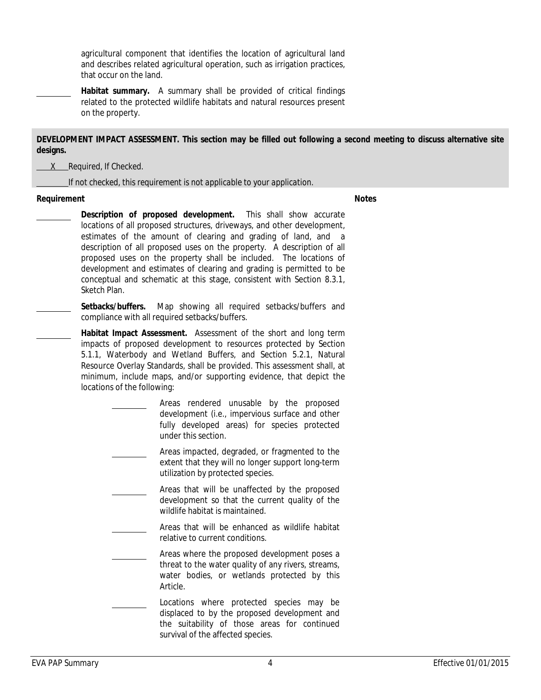agricultural component that identifies the location of agricultural land and describes related agricultural operation, such as irrigation practices, that occur on the land.

**Habitat summary.** A summary shall be provided of critical findings related to the protected wildlife habitats and natural resources present on the property.

## DEVELOPMENT IMPACT ASSESSMENT. This section may be filled out following a second meeting to discuss alternative site **designs.**

 *X Required, If Checked.*

 *If not checked, this requirement is not applicable to your application.*

#### **Requirement Notes**

- **Description of proposed development.** This shall show accurate locations of all proposed structures, driveways, and other development, estimates of the amount of clearing and grading of land, and a description of all proposed uses on the property. A description of all proposed uses on the property shall be included. The locations of development and estimates of clearing and grading is permitted to be conceptual and schematic at this stage, consistent with Section 8.3.1, Sketch Plan.
- **Setbacks/buffers.** Map showing all required setbacks/buffers and compliance with all required setbacks/buffers.
- **Habitat Impact Assessment.** Assessment of the short and long term impacts of proposed development to resources protected by Section 5.1.1, Waterbody and Wetland Buffers, and Section 5.2.1, Natural Resource Overlay Standards, shall be provided. This assessment shall, at minimum, include maps, and/or supporting evidence, that depict the locations of the following:
	- Areas rendered unusable by the proposed development (i.e., impervious surface and other fully developed areas) for species protected under this section.
	- Areas impacted, degraded, or fragmented to the extent that they will no longer support long-term utilization by protected species.
	- Areas that will be unaffected by the proposed development so that the current quality of the wildlife habitat is maintained.
	- Areas that will be enhanced as wildlife habitat relative to current conditions.
		- Areas where the proposed development poses a threat to the water quality of any rivers, streams, water bodies, or wetlands protected by this Article.
	- Locations where protected species may be displaced to by the proposed development and the suitability of those areas for continued survival of the affected species.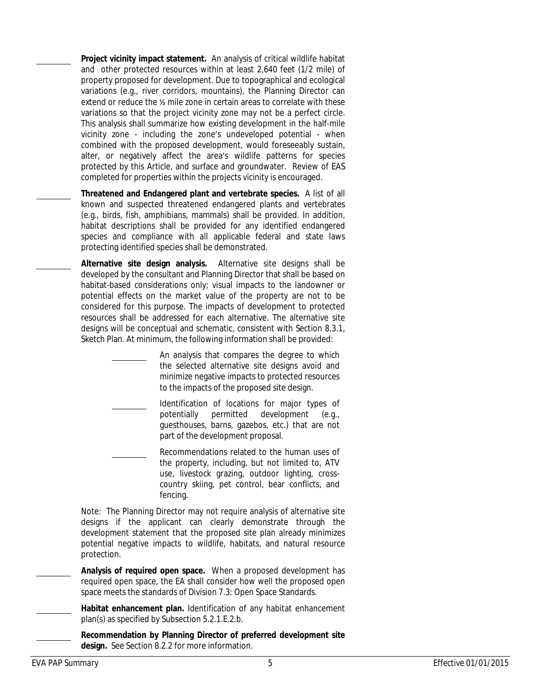**Project vicinity impact statement.** An analysis of critical wildlife habitat and other protected resources within at least 2,640 feet (1/2 mile) of property proposed for development. Due to topographical and ecological variations (e.g., river corridors, mountains), the Planning Director can extend or reduce the ½ mile zone in certain areas to correlate with these variations so that the project vicinity zone may not be a perfect circle. This analysis shall summarize how existing development in the half-mile vicinity zone - including the zone's undeveloped potential - when combined with the proposed development, would foreseeably sustain, alter, or negatively affect the area's wildlife patterns for species protected by this Article, and surface and groundwater. Review of EAS completed for properties within the projects vicinity is encouraged.

**Threatened and Endangered plant and vertebrate species.** A list of all known and suspected threatened endangered plants and vertebrates (e.g., birds, fish, amphibians, mammals) shall be provided. In addition, habitat descriptions shall be provided for any identified endangered species and compliance with all applicable federal and state laws protecting identified species shall be demonstrated.

**Alternative site design analysis.** Alternative site designs shall be developed by the consultant and Planning Director that shall be based on habitat-based considerations only; visual impacts to the landowner or potential effects on the market value of the property are not to be considered for this purpose. The impacts of development to protected resources shall be addressed for each alternative. The alternative site designs will be conceptual and schematic, consistent with Section 8.3.1, Sketch Plan. At minimum, the following information shall be provided:

> An analysis that compares the degree to which the selected alternative site designs avoid and minimize negative impacts to protected resources to the impacts of the proposed site design.

Identification of locations for major types of potentially permitted development (e.g., guesthouses, barns, gazebos, etc.) that are not part of the development proposal.

Recommendations related to the human uses of the property, including, but not limited to, ATV use, livestock grazing, outdoor lighting, crosscountry skiing, pet control, bear conflicts, and fencing.

Note: The Planning Director may not require analysis of alternative site designs if the applicant can clearly demonstrate through the development statement that the proposed site plan already minimizes potential negative impacts to wildlife, habitats, and natural resource protection.

**Analysis of required open space.** When a proposed development has required open space, the EA shall consider how well the proposed open space meets the standards of Division 7.3: Open Space Standards.

**Habitat enhancement plan.** Identification of any habitat enhancement plan(s) as specified by Subsection 5.2.1.E.2.b.

**Recommendation by Planning Director of preferred development site design.** See Section 8.2.2 for more information.